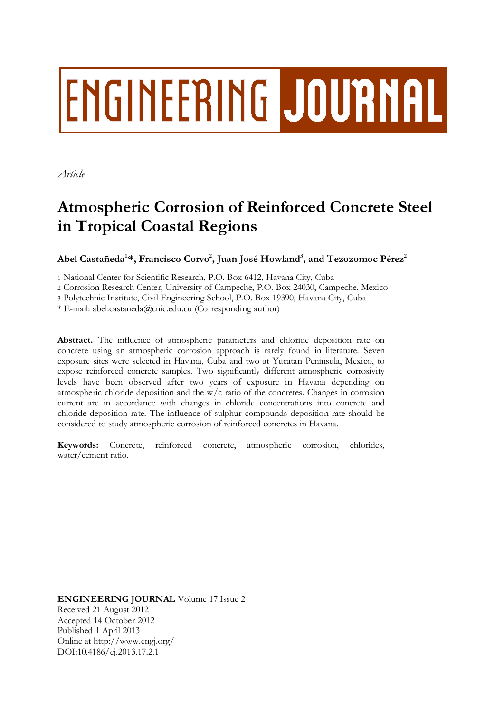# **ENGINEERING JOURNAL**

*Article*

# **Atmospheric Corrosion of Reinforced Concrete Steel in Tropical Coastal Regions**

**Abel Castañeda1,\*, Francisco Corvo<sup>2</sup> , Juan José Howland<sup>3</sup> , and Tezozomoc Pérez<sup>2</sup>**

1 National Center for Scientific Research, P.O. Box 6412, Havana City, Cuba

2 Corrosion Research Center, University of Campeche, P.O. Box 24030, Campeche, Mexico

3 Polytechnic Institute, Civil Engineering School, P.O. Box 19390, Havana City, Cuba

\* E-mail: abel.castaneda@cnic.edu.cu (Corresponding author)

**Abstract.** The influence of atmospheric parameters and chloride deposition rate on concrete using an atmospheric corrosion approach is rarely found in literature. Seven exposure sites were selected in Havana, Cuba and two at Yucatan Peninsula, Mexico, to expose reinforced concrete samples. Two significantly different atmospheric corrosivity levels have been observed after two years of exposure in Havana depending on atmospheric chloride deposition and the  $w/c$  ratio of the concretes. Changes in corrosion current are in accordance with changes in chloride concentrations into concrete and chloride deposition rate. The influence of sulphur compounds deposition rate should be considered to study atmospheric corrosion of reinforced concretes in Havana.

**Keywords:** Concrete, reinforced concrete, atmospheric corrosion, chlorides, water/cement ratio.

**ENGINEERING JOURNAL** Volume 17 Issue 2 Received 21 August 2012 Accepted 14 October 2012 Published 1 April 2013 Online at http://www.engj.org/ DOI:10.4186/ej.2013.17.2.1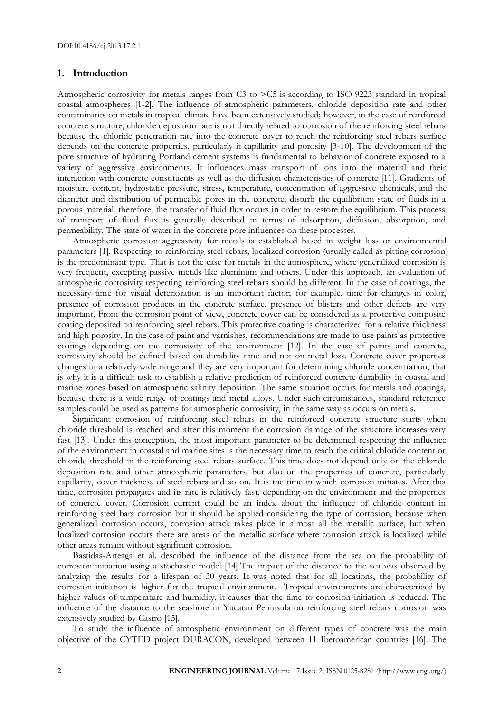#### **1. Introduction**

Atmospheric corrosivity for metals ranges from C3 to >C5 is according to ISO 9223 standard in tropical coastal atmospheres [1-2]. The influence of atmospheric parameters, chloride deposition rate and other contaminants on metals in tropical climate have been extensively studied; however, in the case of reinforced concrete structure, chloride deposition rate is not directly related to corrosion of the reinforcing steel rebars because the chloride penetration rate into the concrete cover to reach the reinforcing steel rebars surface depends on the concrete properties, particularly it capillarity and porosity [3-10]. The development of the pore structure of hydrating Portland cement systems is fundamental to behavior of concrete exposed to a variety of aggressive environments. It influences mass transport of ions into the material and their interaction with concrete constituents as well as the diffusion characteristics of concrete [11]. Gradients of moisture content, hydrostatic pressure, stress, temperature, concentration of aggressive chemicals, and the diameter and distribution of permeable pores in the concrete, disturb the equilibrium state of fluids in a porous material, therefore, the transfer of fluid flux occurs in order to restore the equilibrium. This process of transport of fluid flux is generally described in terms of adsorption, diffusion, absorption, and permeability. The state of water in the concrete pore influences on these processes.

Atmospheric corrosion aggressivity for metals is established based in weight loss or environmental parameters [1]. Respecting to reinforcing steel rebars, localized corrosion (usually called as pitting corrosion) is the predominant type. That is not the case for metals in the atmosphere, where generalized corrosion is very frequent, excepting passive metals like aluminum and others. Under this approach, an evaluation of atmospheric corrosivity respecting reinforcing steel rebars should be different. In the case of coatings, the necessary time for visual deterioration is an important factor; for example, time for changes in color, presence of corrosion products in the concrete surface, presence of blisters and other defects are very important. From the corrosion point of view, concrete cover can be considered as a protective composite coating deposited on reinforcing steel rebars. This protective coating is characterized for a relative thickness and high porosity. In the case of paint and varnishes, recommendations are made to use paints as protective coatings depending on the corrosivity of the environment [12]. In the case of paints and concrete, corrosivity should be defined based on durability time and not on metal loss. Concrete cover properties changes in a relatively wide range and they are very important for determining chloride concentration, that is why it is a difficult task to establish a relative prediction of reinforced concrete durability in coastal and marine zones based on atmospheric salinity deposition. The same situation occurs for metals and coatings, because there is a wide range of coatings and metal alloys. Under such circumstances, standard reference samples could be used as patterns for atmospheric corrosivity, in the same way as occurs on metals.

Significant corrosion of reinforcing steel rebars in the reinforced concrete structure starts when chloride threshold is reached and after this moment the corrosion damage of the structure increases very fast [13]. Under this conception, the most important parameter to be determined respecting the influence of the environment in coastal and marine sites is the necessary time to reach the critical chloride content or chloride threshold in the reinforcing steel rebars surface. This time does not depend only on the chloride deposition rate and other atmospheric parameters, but also on the properties of concrete, particularly capillarity, cover thickness of steel rebars and so on. It is the time in which corrosion initiates. After this time, corrosion propagates and its rate is relatively fast, depending on the environment and the properties of concrete cover. Corrosion current could be an index about the influence of chloride content in reinforcing steel bars corrosion but it should be applied considering the type of corrosion, because when generalized corrosion occurs, corrosion attack takes place in almost all the metallic surface, but when localized corrosion occurs there are areas of the metallic surface where corrosion attack is localized while other areas remain without significant corrosion.

Bastidas-Arteaga et al. described the influence of the distance from the sea on the probability of corrosion initiation using a stochastic model [14].The impact of the distance to the sea was observed by analyzing the results for a lifespan of 30 years. It was noted that for all locations, the probability of corrosion initiation is higher for the tropical environment. Tropical environments are characterized by higher values of temperature and humidity, it causes that the time to corrosion initiation is reduced. The influence of the distance to the seashore in Yucatan Peninsula on reinforcing steel rebars corrosion was extensively studied by Castro [15].

To study the influence of atmospheric environment on different types of concrete was the main objective of the CYTED project DURACON, developed between 11 Iberoamerican countries [16]. The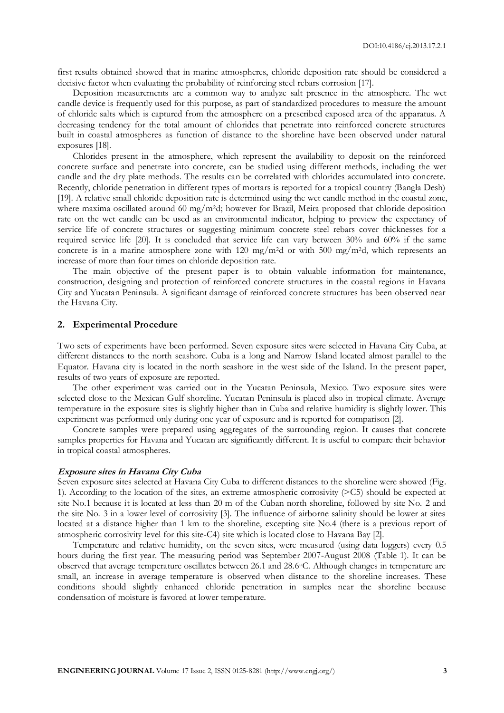first results obtained showed that in marine atmospheres, chloride deposition rate should be considered a decisive factor when evaluating the probability of reinforcing steel rebars corrosion [17].

Deposition measurements are a common way to analyze salt presence in the atmosphere. The wet candle device is frequently used for this purpose, as part of standardized procedures to measure the amount of chloride salts which is captured from the atmosphere on a prescribed exposed area of the apparatus. A decreasing tendency for the total amount of chlorides that penetrate into reinforced concrete structures built in coastal atmospheres as function of distance to the shoreline have been observed under natural exposures [18].

Chlorides present in the atmosphere, which represent the availability to deposit on the reinforced concrete surface and penetrate into concrete, can be studied using different methods, including the wet candle and the dry plate methods. The results can be correlated with chlorides accumulated into concrete. Recently, chloride penetration in different types of mortars is reported for a tropical country (Bangla Desh) [19]. A relative small chloride deposition rate is determined using the wet candle method in the coastal zone, where maxima oscillated around 60 mg/m<sup>2</sup>d; however for Brazil, Meira proposed that chloride deposition rate on the wet candle can be used as an environmental indicator, helping to preview the expectancy of service life of concrete structures or suggesting minimum concrete steel rebars cover thicknesses for a required service life [20]. It is concluded that service life can vary between 30% and 60% if the same concrete is in a marine atmosphere zone with  $120 \text{ mg/m}^2$ d or with  $500 \text{ mg/m}^2$ d, which represents an increase of more than four times on chloride deposition rate.

The main objective of the present paper is to obtain valuable information for maintenance, construction, designing and protection of reinforced concrete structures in the coastal regions in Havana City and Yucatan Peninsula. A significant damage of reinforced concrete structures has been observed near the Havana City.

#### **2. Experimental Procedure**

Two sets of experiments have been performed. Seven exposure sites were selected in Havana City Cuba, at different distances to the north seashore. Cuba is a long and Narrow Island located almost parallel to the Equator. Havana city is located in the north seashore in the west side of the Island. In the present paper, results of two years of exposure are reported.

The other experiment was carried out in the Yucatan Peninsula, Mexico. Two exposure sites were selected close to the Mexican Gulf shoreline. Yucatan Peninsula is placed also in tropical climate. Average temperature in the exposure sites is slightly higher than in Cuba and relative humidity is slightly lower. This experiment was performed only during one year of exposure and is reported for comparison [2].

Concrete samples were prepared using aggregates of the surrounding region. It causes that concrete samples properties for Havana and Yucatan are significantly different. It is useful to compare their behavior in tropical coastal atmospheres.

#### **Exposure sites in Havana City Cuba**

Seven exposure sites selected at Havana City Cuba to different distances to the shoreline were showed (Fig. 1). According to the location of the sites, an extreme atmospheric corrosivity (>C5) should be expected at site No.1 because it is located at less than 20 m of the Cuban north shoreline, followed by site No. 2 and the site No. 3 in a lower level of corrosivity [3]. The influence of airborne salinity should be lower at sites located at a distance higher than 1 km to the shoreline, excepting site No.4 (there is a previous report of atmospheric corrosivity level for this site-C4) site which is located close to Havana Bay [2].

Temperature and relative humidity, on the seven sites, were measured (using data loggers) every 0.5 hours during the first year. The measuring period was September 2007-August 2008 (Table 1). It can be observed that average temperature oscillates between 26.1 and 28.6oC. Although changes in temperature are small, an increase in average temperature is observed when distance to the shoreline increases. These conditions should slightly enhanced chloride penetration in samples near the shoreline because condensation of moisture is favored at lower temperature.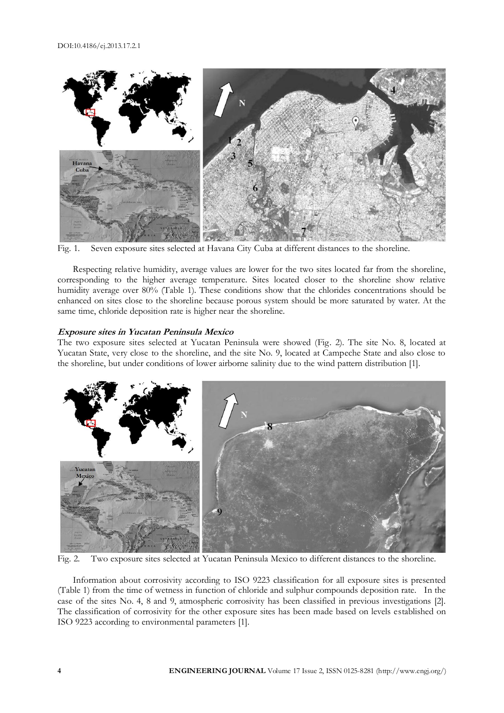

Fig. 1. Seven exposure sites selected at Havana City Cuba at different distances to the shoreline.

Respecting relative humidity, average values are lower for the two sites located far from the shoreline, corresponding to the higher average temperature. Sites located closer to the shoreline show relative humidity average over 80% (Table 1). These conditions show that the chlorides concentrations should be enhanced on sites close to the shoreline because porous system should be more saturated by water. At the same time, chloride deposition rate is higher near the shoreline.

#### **Exposure sites in Yucatan Peninsula Mexico**

The two exposure sites selected at Yucatan Peninsula were showed (Fig. 2). The site No. 8, located at Yucatan State, very close to the shoreline, and the site No. 9, located at Campeche State and also close to the shoreline, but under conditions of lower airborne salinity due to the wind pattern distribution [1].



Fig. 2. Two exposure sites selected at Yucatan Peninsula Mexico to different distances to the shoreline.

Information about corrosivity according to ISO 9223 classification for all exposure sites is presented (Table 1) from the time of wetness in function of chloride and sulphur compounds deposition rate. In the case of the sites No. 4, 8 and 9, atmospheric corrosivity has been classified in previous investigations [2]. The classification of corrosivity for the other exposure sites has been made based on levels established on ISO 9223 according to environmental parameters [1].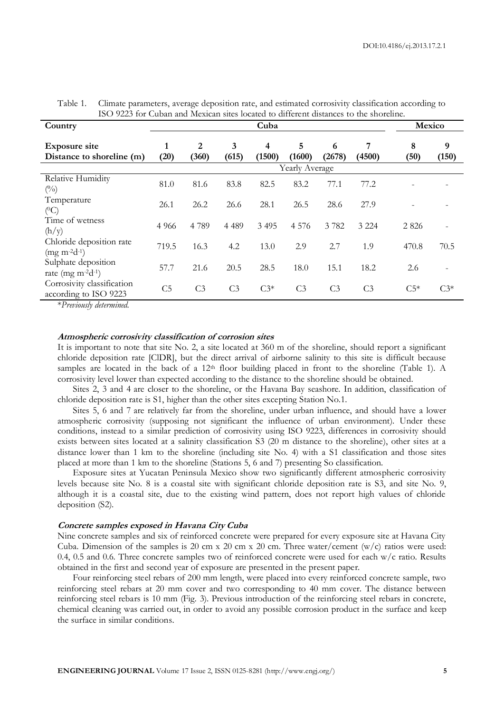| 190 9229 IOI Cuban and incritan sites iocalcu io unicitiil uistantes to the shoitmile.<br>Country | Cuba           |                |                |             |                |                |                | Mexico    |            |
|---------------------------------------------------------------------------------------------------|----------------|----------------|----------------|-------------|----------------|----------------|----------------|-----------|------------|
| <b>Exposure site</b><br>Distance to shoreline (m)                                                 | 1<br>(20)      | 2<br>(360)     | 3<br>(615)     | 4<br>(1500) | 5<br>(1600)    | 6<br>(2678)    | 7<br>(4500)    | 8<br>(50) | 9<br>(150) |
|                                                                                                   |                |                |                |             | Yearly Average |                |                |           |            |
| Relative Humidity<br>(0/0)                                                                        | 81.0           | 81.6           | 83.8           | 82.5        | 83.2           | 77.1           | 77.2           |           |            |
| Temperature<br>$(^0C)$                                                                            | 26.1           | 26.2           | 26.6           | 28.1        | 26.5           | 28.6           | 27.9           |           |            |
| Time of wetness<br>(h/y)                                                                          | 4 9 6 6        | 4789           | 4 4 8 9        | 3 4 9 5     | 4 5 7 6        | 3782           | 3 2 2 4        | 2 8 2 6   |            |
| Chloride deposition rate<br>$(mg m-2d-1)$                                                         | 719.5          | 16.3           | 4.2            | 13.0        | 2.9            | 2.7            | 1.9            | 470.8     | 70.5       |
| Sulphate deposition<br>rate (mg $m^{-2}d^{-1}$ )                                                  | 57.7           | 21.6           | 20.5           | 28.5        | 18.0           | 15.1           | 18.2           | 2.6       |            |
| Corrosivity classification<br>according to ISO 9223                                               | C <sub>5</sub> | C <sub>3</sub> | C <sub>3</sub> | $C3*$       | C <sub>3</sub> | C <sub>3</sub> | C <sub>3</sub> | $C5*$     | $C3*$      |

Table 1. Climate parameters, average deposition rate, and estimated corrosivity classification according to ISO 9223 for Cuban and Mexican sites located to different distances to the shoreline.

\**Previously determined.*

#### **Atmospheric corrosivity classification of corrosion sites**

It is important to note that site No. 2, a site located at 360 m of the shoreline, should report a significant chloride deposition rate [ClDR], but the direct arrival of airborne salinity to this site is difficult because samples are located in the back of a  $12<sup>th</sup>$  floor building placed in front to the shoreline (Table 1). A corrosivity level lower than expected according to the distance to the shoreline should be obtained.

Sites 2, 3 and 4 are closer to the shoreline, or the Havana Bay seashore. In addition, classification of chloride deposition rate is S1, higher than the other sites excepting Station No.1.

Sites 5, 6 and 7 are relatively far from the shoreline, under urban influence, and should have a lower atmospheric corrosivity (supposing not significant the influence of urban environment). Under these conditions, instead to a similar prediction of corrosivity using ISO 9223, differences in corrosivity should exists between sites located at a salinity classification S3 (20 m distance to the shoreline), other sites at a distance lower than 1 km to the shoreline (including site No. 4) with a S1 classification and those sites placed at more than 1 km to the shoreline (Stations 5, 6 and 7) presenting So classification.

Exposure sites at Yucatan Peninsula Mexico show two significantly different atmospheric corrosivity levels because site No. 8 is a coastal site with significant chloride deposition rate is S3, and site No. 9, although it is a coastal site, due to the existing wind pattern, does not report high values of chloride deposition (S2).

# **Concrete samples exposed in Havana City Cuba**

Nine concrete samples and six of reinforced concrete were prepared for every exposure site at Havana City Cuba. Dimension of the samples is 20 cm x 20 cm x 20 cm. Three water/cement (w/c) ratios were used: 0.4, 0.5 and 0.6. Three concrete samples two of reinforced concrete were used for each w/c ratio. Results obtained in the first and second year of exposure are presented in the present paper.

Four reinforcing steel rebars of 200 mm length, were placed into every reinforced concrete sample, two reinforcing steel rebars at 20 mm cover and two corresponding to 40 mm cover. The distance between reinforcing steel rebars is 10 mm (Fig. 3). Previous introduction of the reinforcing steel rebars in concrete, chemical cleaning was carried out, in order to avoid any possible corrosion product in the surface and keep the surface in similar conditions.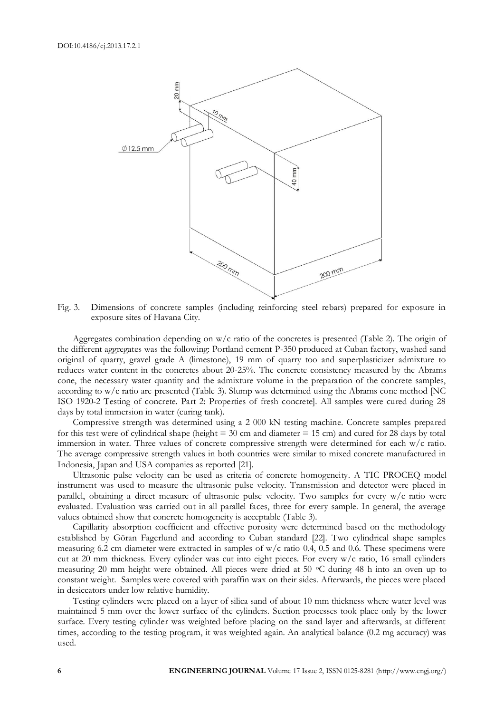

Fig. 3. Dimensions of concrete samples (including reinforcing steel rebars) prepared for exposure in exposure sites of Havana City.

Aggregates combination depending on  $w/c$  ratio of the concretes is presented (Table 2). The origin of the different aggregates was the following: Portland cement P-350 produced at Cuban factory, washed sand original of quarry, gravel grade A (limestone), 19 mm of quarry too and superplasticizer admixture to reduces water content in the concretes about 20-25%. The concrete consistency measured by the Abrams cone, the necessary water quantity and the admixture volume in the preparation of the concrete samples, according to w/c ratio are presented (Table 3). Slump was determined using the Abrams cone method [NC ISO 1920-2 Testing of concrete. Part 2: Properties of fresh concrete]. All samples were cured during 28 days by total immersion in water (curing tank).

Compressive strength was determined using a 2 000 kN testing machine. Concrete samples prepared for this test were of cylindrical shape (height  $=$  30 cm and diameter  $=$  15 cm) and cured for 28 days by total immersion in water. Three values of concrete compressive strength were determined for each w/c ratio. The average compressive strength values in both countries were similar to mixed concrete manufactured in Indonesia, Japan and USA companies as reported [21].

Ultrasonic pulse velocity can be used as criteria of concrete homogeneity. A TIC PROCEQ model instrument was used to measure the ultrasonic pulse velocity. Transmission and detector were placed in parallel, obtaining a direct measure of ultrasonic pulse velocity. Two samples for every w/c ratio were evaluated. Evaluation was carried out in all parallel faces, three for every sample. In general, the average values obtained show that concrete homogeneity is acceptable (Table 3).

Capillarity absorption coefficient and effective porosity were determined based on the methodology established by Göran Fagerlund and according to Cuban standard [22]. Two cylindrical shape samples measuring 6.2 cm diameter were extracted in samples of  $w/c$  ratio 0.4, 0.5 and 0.6. These specimens were cut at 20 mm thickness. Every cylinder was cut into eight pieces. For every w/c ratio, 16 small cylinders measuring 20 mm height were obtained. All pieces were dried at 50 °C during 48 h into an oven up to constant weight. Samples were covered with paraffin wax on their sides. Afterwards, the pieces were placed in desiccators under low relative humidity.

Testing cylinders were placed on a layer of silica sand of about 10 mm thickness where water level was maintained 5 mm over the lower surface of the cylinders. Suction processes took place only by the lower surface. Every testing cylinder was weighted before placing on the sand layer and afterwards, at different times, according to the testing program, it was weighted again. An analytical balance (0.2 mg accuracy) was used.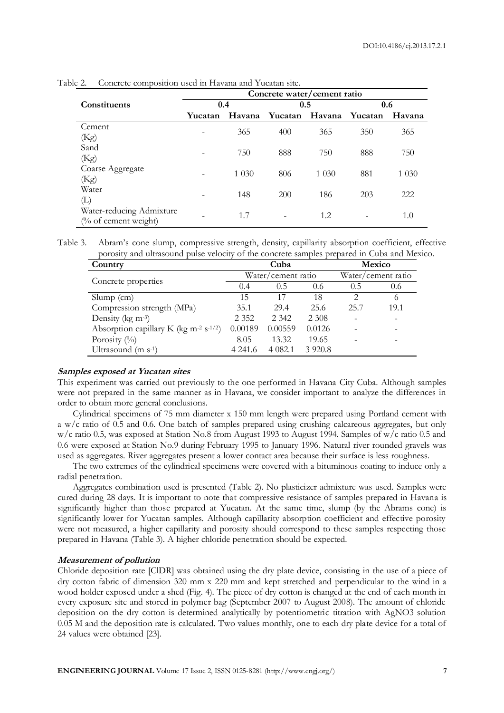|                          | Concrete water/cement ratio |         |         |         |         |         |  |  |  |
|--------------------------|-----------------------------|---------|---------|---------|---------|---------|--|--|--|
| <b>Constituents</b>      | 0.4                         |         | 0.5     |         | 0.6     |         |  |  |  |
|                          | Yucatan                     | Havana  | Yucatan | Havana  | Yucatan | Havana  |  |  |  |
| Cement                   |                             | 365     | 400     | 365     | 350     | 365     |  |  |  |
| (Kg)                     |                             |         |         |         |         |         |  |  |  |
| Sand                     |                             | 750     | 888     | 750     | 888     | 750     |  |  |  |
| (Kg)                     |                             |         |         |         |         |         |  |  |  |
| Coarse Aggregate         |                             |         | 806     | 1 0 3 0 | 881     |         |  |  |  |
| (Kg)                     |                             | 1 0 3 0 |         |         |         | 1 0 3 0 |  |  |  |
| Water                    |                             |         |         |         |         | 222     |  |  |  |
| $(\mathrm{L})$           |                             | 148     | 200     | 186     | 203     |         |  |  |  |
| Water-reducing Admixture |                             |         |         |         |         |         |  |  |  |
| (% of cement weight)     |                             | 1.7     |         | 1.2     |         | 1.0     |  |  |  |

Table 2. Concrete composition used in Havana and Yucatan site.

Table 3. Abram's cone slump, compressive strength, density, capillarity absorption coefficient, effective porosity and ultrasound pulse velocity of the concrete samples prepared in Cuba and Mexico.

| Country                                                        |         | Cuba               |                    |      | <b>Mexico</b> |
|----------------------------------------------------------------|---------|--------------------|--------------------|------|---------------|
|                                                                |         | Water/cement ratio | Water/cement ratio |      |               |
| Concrete properties                                            | 0.4     | 0.5                | 0.6                | 0.5  | 0.6           |
| $Slump$ (cm)                                                   | 15      | 17                 | 18                 |      |               |
| Compression strength (MPa)                                     | 35.1    | 29.4               | 25.6               | 25.7 | 19.1          |
| Density ( $kg \, \text{m}$ <sup>-3</sup> )                     | 2 3 5 2 | 2 3 4 2            | 2 3 0 8            |      |               |
| Absorption capillary K (kg m <sup>-2</sup> s <sup>-1/2</sup> ) | 0.00189 | 0.00559            | 0.0126             |      |               |
| Porosity $(\%)$                                                | 8.05    | 13.32              | 19.65              |      |               |
| Ultrasound $(m s-1)$                                           | 4 241.6 | 4 0 8 2.1          | 3 9 2 0.8          |      |               |

#### **Samples exposed at Yucatan sites**

This experiment was carried out previously to the one performed in Havana City Cuba. Although samples were not prepared in the same manner as in Havana, we consider important to analyze the differences in order to obtain more general conclusions.

Cylindrical specimens of 75 mm diameter x 150 mm length were prepared using Portland cement with a w/c ratio of 0.5 and 0.6. One batch of samples prepared using crushing calcareous aggregates, but only w/c ratio 0.5, was exposed at Station No.8 from August 1993 to August 1994. Samples of w/c ratio 0.5 and 0.6 were exposed at Station No.9 during February 1995 to January 1996. Natural river rounded gravels was used as aggregates. River aggregates present a lower contact area because their surface is less roughness.

The two extremes of the cylindrical specimens were covered with a bituminous coating to induce only a radial penetration.

Aggregates combination used is presented (Table 2). No plasticizer admixture was used. Samples were cured during 28 days. It is important to note that compressive resistance of samples prepared in Havana is significantly higher than those prepared at Yucatan. At the same time, slump (by the Abrams cone) is significantly lower for Yucatan samples. Although capillarity absorption coefficient and effective porosity were not measured, a higher capillarity and porosity should correspond to these samples respecting those prepared in Havana (Table 3). A higher chloride penetration should be expected.

## **Measurement of pollution**

Chloride deposition rate [ClDR] was obtained using the dry plate device, consisting in the use of a piece of dry cotton fabric of dimension 320 mm x 220 mm and kept stretched and perpendicular to the wind in a wood holder exposed under a shed (Fig. 4). The piece of dry cotton is changed at the end of each month in every exposure site and stored in polymer bag (September 2007 to August 2008). The amount of chloride deposition on the dry cotton is determined analytically by potentiometric titration with AgNO3 solution 0.05 M and the deposition rate is calculated. Two values monthly, one to each dry plate device for a total of 24 values were obtained [23].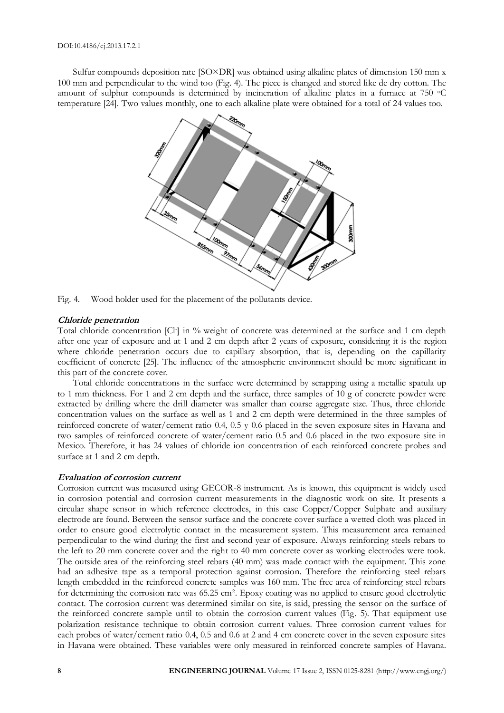Sulfur compounds deposition rate [SO×DR] was obtained using alkaline plates of dimension 150 mm x 100 mm and perpendicular to the wind too (Fig. 4). The piece is changed and stored like de dry cotton. The amount of sulphur compounds is determined by incineration of alkaline plates in a furnace at 750 °C temperature [24]. Two values monthly, one to each alkaline plate were obtained for a total of 24 values too.



Fig. 4. Wood holder used for the placement of the pollutants device.

#### **Chloride penetration**

Total chloride concentration [Cl-] in % weight of concrete was determined at the surface and 1 cm depth after one year of exposure and at 1 and 2 cm depth after 2 years of exposure, considering it is the region where chloride penetration occurs due to capillary absorption, that is, depending on the capillarity coefficient of concrete [25]. The influence of the atmospheric environment should be more significant in this part of the concrete cover.

Total chloride concentrations in the surface were determined by scrapping using a metallic spatula up to 1 mm thickness. For 1 and 2 cm depth and the surface, three samples of 10 g of concrete powder were extracted by drilling where the drill diameter was smaller than coarse aggregate size. Thus, three chloride concentration values on the surface as well as 1 and 2 cm depth were determined in the three samples of reinforced concrete of water/cement ratio 0.4, 0.5 y 0.6 placed in the seven exposure sites in Havana and two samples of reinforced concrete of water/cement ratio 0.5 and 0.6 placed in the two exposure site in Mexico. Therefore, it has 24 values of chloride ion concentration of each reinforced concrete probes and surface at 1 and 2 cm depth.

#### **Evaluation of corrosion current**

Corrosion current was measured using GECOR-8 instrument. As is known, this equipment is widely used in corrosion potential and corrosion current measurements in the diagnostic work on site. It presents a circular shape sensor in which reference electrodes, in this case Copper/Copper Sulphate and auxiliary electrode are found. Between the sensor surface and the concrete cover surface a wetted cloth was placed in order to ensure good electrolytic contact in the measurement system. This measurement area remained perpendicular to the wind during the first and second year of exposure. Always reinforcing steels rebars to the left to 20 mm concrete cover and the right to 40 mm concrete cover as working electrodes were took. The outside area of the reinforcing steel rebars (40 mm) was made contact with the equipment. This zone had an adhesive tape as a temporal protection against corrosion. Therefore the reinforcing steel rebars length embedded in the reinforced concrete samples was 160 mm. The free area of reinforcing steel rebars for determining the corrosion rate was 65.25 cm<sup>2</sup>. Epoxy coating was no applied to ensure good electrolytic contact. The corrosion current was determined similar on site, is said, pressing the sensor on the surface of the reinforced concrete sample until to obtain the corrosion current values (Fig. 5). That equipment use polarization resistance technique to obtain corrosion current values. Three corrosion current values for each probes of water/cement ratio 0.4, 0.5 and 0.6 at 2 and 4 cm concrete cover in the seven exposure sites in Havana were obtained. These variables were only measured in reinforced concrete samples of Havana.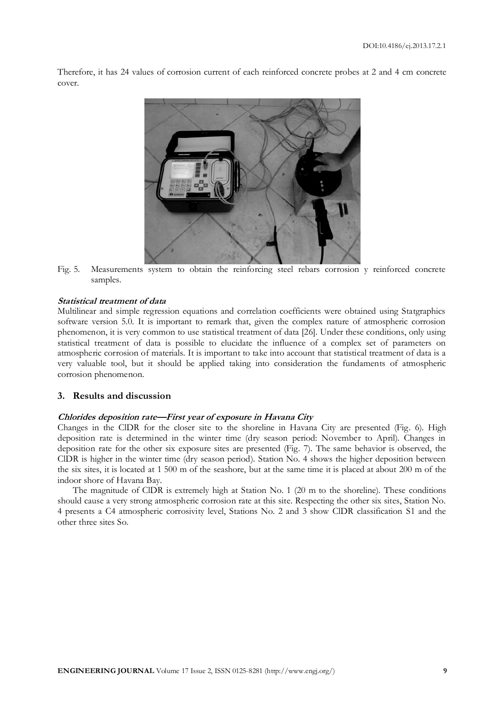Therefore, it has 24 values of corrosion current of each reinforced concrete probes at 2 and 4 cm concrete cover.



Fig. 5. Measurements system to obtain the reinforcing steel rebars corrosion y reinforced concrete samples.

#### **Statistical treatment of data**

Multilinear and simple regression equations and correlation coefficients were obtained using Statgraphics software version 5.0. It is important to remark that, given the complex nature of atmospheric corrosion phenomenon, it is very common to use statistical treatment of data [26]. Under these conditions, only using statistical treatment of data is possible to elucidate the influence of a complex set of parameters on atmospheric corrosion of materials. It is important to take into account that statistical treatment of data is a very valuable tool, but it should be applied taking into consideration the fundaments of atmospheric corrosion phenomenon.

#### **3. Results and discussion**

# **Chlorides deposition rate—First year of exposure in Havana City**

Changes in the ClDR for the closer site to the shoreline in Havana City are presented (Fig. 6). High deposition rate is determined in the winter time (dry season period: November to April). Changes in deposition rate for the other six exposure sites are presented (Fig. 7). The same behavior is observed, the ClDR is higher in the winter time (dry season period). Station No. 4 shows the higher deposition between the six sites, it is located at 1 500 m of the seashore, but at the same time it is placed at about 200 m of the indoor shore of Havana Bay.

The magnitude of ClDR is extremely high at Station No. 1 (20 m to the shoreline). These conditions should cause a very strong atmospheric corrosion rate at this site. Respecting the other six sites, Station No. 4 presents a C4 atmospheric corrosivity level, Stations No. 2 and 3 show ClDR classification S1 and the other three sites So.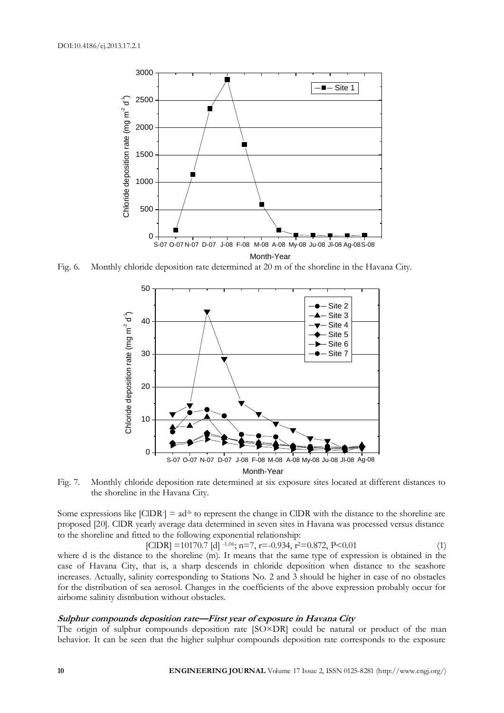

Fig. 6. Monthly chloride deposition rate determined at 20 m of the shoreline in the Havana City.



Fig. 7. Monthly chloride deposition rate determined at six exposure sites located at different distances to the shoreline in the Havana City.

Some expressions like  $[CDR] = ad<sup>-b</sup>$  to represent the change in CIDR with the distance to the shoreline are proposed [20]. ClDR yearly average data determined in seven sites in Havana was processed versus distance to the shoreline and fitted to the following exponential relationship:

 $\text{[CIDR]} = 10170.7 \text{ [d]}^{-1.06}$ ; n=7, r=-0.934, r<sup>2</sup>=0.872, P<0.01 (1)

where d is the distance to the shoreline (m). It means that the same type of expression is obtained in the case of Havana City, that is, a sharp descends in chloride deposition when distance to the seashore increases. Actually, salinity corresponding to Stations No. 2 and 3 should be higher in case of no obstacles for the distribution of sea aerosol. Changes in the coefficients of the above expression probably occur for airborne salinity distribution without obstacles.

# **Sulphur compounds deposition rate—First year of exposure in Havana City**

The origin of sulphur compounds deposition rate [SO×DR] could be natural or product of the man behavior. It can be seen that the higher sulphur compounds deposition rate corresponds to the exposure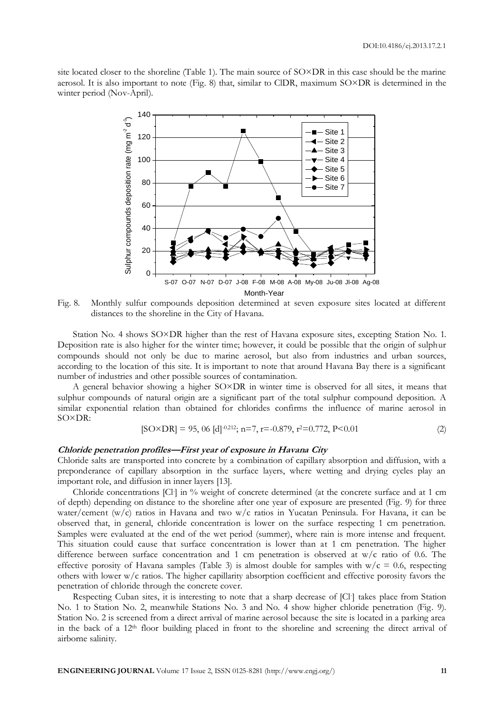site located closer to the shoreline (Table 1). The main source of SO×DR in this case should be the marine aerosol. It is also important to note (Fig. 8) that, similar to ClDR, maximum SO×DR is determined in the winter period (Nov-April).



Fig. 8. Monthly sulfur compounds deposition determined at seven exposure sites located at different distances to the shoreline in the City of Havana.

Station No. 4 shows SO×DR higher than the rest of Havana exposure sites, excepting Station No. 1. Deposition rate is also higher for the winter time; however, it could be possible that the origin of sulphur compounds should not only be due to marine aerosol, but also from industries and urban sources, according to the location of this site. It is important to note that around Havana Bay there is a significant number of industries and other possible sources of contamination.

A general behavior showing a higher SO×DR in winter time is observed for all sites, it means that sulphur compounds of natural origin are a significant part of the total sulphur compound deposition. A similar exponential relation than obtained for chlorides confirms the influence of marine aerosol in SO×DR:

$$
[SO \times DR] = 95,06 \,[d]^{-0.212}; n=7, r=-0.879, r^2=0.772, P<0.01 \tag{2}
$$

# **Chloride penetration profiles—First year of exposure in Havana City**

Chloride salts are transported into concrete by a combination of capillary absorption and diffusion, with a preponderance of capillary absorption in the surface layers, where wetting and drying cycles play an important role, and diffusion in inner layers [13].

Chloride concentrations [Cl] in % weight of concrete determined (at the concrete surface and at 1 cm of depth) depending on distance to the shoreline after one year of exposure are presented (Fig. 9) for three water/cement (w/c) ratios in Havana and two w/c ratios in Yucatan Peninsula. For Havana, it can be observed that, in general, chloride concentration is lower on the surface respecting 1 cm penetration. Samples were evaluated at the end of the wet period (summer), where rain is more intense and frequent. This situation could cause that surface concentration is lower than at 1 cm penetration. The higher difference between surface concentration and 1 cm penetration is observed at w/c ratio of 0.6. The effective porosity of Havana samples (Table 3) is almost double for samples with  $w/c = 0.6$ , respecting others with lower w/c ratios. The higher capillarity absorption coefficient and effective porosity favors the penetration of chloride through the concrete cover.

Respecting Cuban sites, it is interesting to note that a sharp decrease of [Cl-] takes place from Station No. 1 to Station No. 2, meanwhile Stations No. 3 and No. 4 show higher chloride penetration (Fig. 9). Station No. 2 is screened from a direct arrival of marine aerosol because the site is located in a parking area in the back of a 12<sup>th</sup> floor building placed in front to the shoreline and screening the direct arrival of airborne salinity.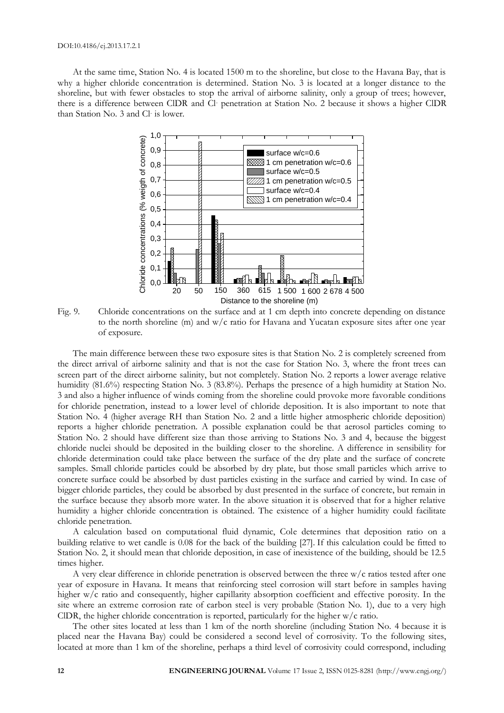At the same time, Station No. 4 is located 1500 m to the shoreline, but close to the Havana Bay, that is why a higher chloride concentration is determined. Station No. 3 is located at a longer distance to the shoreline, but with fewer obstacles to stop the arrival of airborne salinity, only a group of trees; however, there is a difference between ClDR and Cl- penetration at Station No. 2 because it shows a higher ClDR than Station No. 3 and Cl-is lower.



Fig. 9. Chloride concentrations on the surface and at 1 cm depth into concrete depending on distance to the north shoreline (m) and w/c ratio for Havana and Yucatan exposure sites after one year of exposure.

The main difference between these two exposure sites is that Station No. 2 is completely screened from the direct arrival of airborne salinity and that is not the case for Station No. 3, where the front trees can screen part of the direct airborne salinity, but not completely. Station No. 2 reports a lower average relative humidity (81.6%) respecting Station No. 3 (83.8%). Perhaps the presence of a high humidity at Station No. 3 and also a higher influence of winds coming from the shoreline could provoke more favorable conditions for chloride penetration, instead to a lower level of chloride deposition. It is also important to note that Station No. 4 (higher average RH than Station No. 2 and a little higher atmospheric chloride deposition) reports a higher chloride penetration. A possible explanation could be that aerosol particles coming to Station No. 2 should have different size than those arriving to Stations No. 3 and 4, because the biggest chloride nuclei should be deposited in the building closer to the shoreline. A difference in sensibility for chloride determination could take place between the surface of the dry plate and the surface of concrete samples. Small chloride particles could be absorbed by dry plate, but those small particles which arrive to concrete surface could be absorbed by dust particles existing in the surface and carried by wind. In case of bigger chloride particles, they could be absorbed by dust presented in the surface of concrete, but remain in the surface because they absorb more water. In the above situation it is observed that for a higher relative humidity a higher chloride concentration is obtained. The existence of a higher humidity could facilitate chloride penetration.

A calculation based on computational fluid dynamic, Cole determines that deposition ratio on a building relative to wet candle is 0.08 for the back of the building [27]. If this calculation could be fitted to Station No. 2, it should mean that chloride deposition, in case of inexistence of the building, should be 12.5 times higher.

A very clear difference in chloride penetration is observed between the three w/c ratios tested after one year of exposure in Havana. It means that reinforcing steel corrosion will start before in samples having higher w/c ratio and consequently, higher capillarity absorption coefficient and effective porosity. In the site where an extreme corrosion rate of carbon steel is very probable (Station No. 1), due to a very high ClDR, the higher chloride concentration is reported, particularly for the higher w/c ratio.

The other sites located at less than 1 km of the north shoreline (including Station No. 4 because it is placed near the Havana Bay) could be considered a second level of corrosivity. To the following sites, located at more than 1 km of the shoreline, perhaps a third level of corrosivity could correspond, including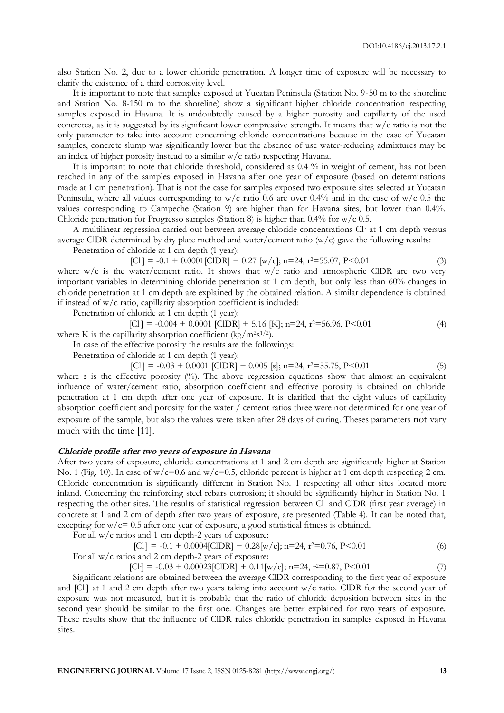also Station No. 2, due to a lower chloride penetration. A longer time of exposure will be necessary to clarify the existence of a third corrosivity level.

It is important to note that samples exposed at Yucatan Peninsula (Station No. 9-50 m to the shoreline and Station No. 8-150 m to the shoreline) show a significant higher chloride concentration respecting samples exposed in Havana. It is undoubtedly caused by a higher porosity and capillarity of the used concretes, as it is suggested by its significant lower compressive strength. It means that w/c ratio is not the only parameter to take into account concerning chloride concentrations because in the case of Yucatan samples, concrete slump was significantly lower but the absence of use water-reducing admixtures may be an index of higher porosity instead to a similar w/c ratio respecting Havana.

It is important to note that chloride threshold, considered as 0.4 % in weight of cement, has not been reached in any of the samples exposed in Havana after one year of exposure (based on determinations made at 1 cm penetration). That is not the case for samples exposed two exposure sites selected at Yucatan Peninsula, where all values corresponding to w/c ratio 0.6 are over 0.4% and in the case of w/c 0.5 the values corresponding to Campeche (Station 9) are higher than for Havana sites, but lower than 0.4%. Chloride penetration for Progresso samples (Station 8) is higher than  $0.4\%$  for w/c  $0.5$ .

A multilinear regression carried out between average chloride concentrations Cl- at 1 cm depth versus average CIDR determined by dry plate method and water/cement ratio  $(w/c)$  gave the following results:

Penetration of chloride at 1 cm depth (1 year):

$$
[Cl] = -0.1 + 0.0001 [CIDR] + 0.27 [w/c]; n = 24, r^2 = 55.07, P < 0.01 \tag{3}
$$

where  $w/c$  is the water/cement ratio. It shows that  $w/c$  ratio and atmospheric CIDR are two very important variables in determining chloride penetration at 1 cm depth, but only less than 60% changes in chloride penetration at 1 cm depth are explained by the obtained relation. A similar dependence is obtained if instead of w/c ratio, capillarity absorption coefficient is included:

Penetration of chloride at 1 cm depth (1 year):

[Cl- ] = -0.004 + 0.0001 [ClDR] + 5.16 [K]; n=24, r <sup>2</sup>=56.96, P<0.01 (4) where K is the capillarity absorption coefficient (kg/m2s 1/2).

In case of the effective porosity the results are the followings:

Penetration of chloride at 1 cm depth (1 year):

$$
[Cl] = -0.03 + 0.0001
$$
 [CIDR] + 0.005 [e]; n=24, r<sup>2</sup>=55.75, P<0.01 (5)

where ε is the effective porosity (%). The above regression equations show that almost an equivalent influence of water/cement ratio, absorption coefficient and effective porosity is obtained on chloride penetration at 1 cm depth after one year of exposure. It is clarified that the eight values of capillarity absorption coefficient and porosity for the water / cement ratios three were not determined for one year of exposure of the sample, but also the values were taken after 28 days of curing. Theses parameters not vary much with the time [11].

#### **Chloride profile after two years of exposure in Havana**

After two years of exposure, chloride concentrations at 1 and 2 cm depth are significantly higher at Station No. 1 (Fig. 10). In case of w/c=0.6 and w/c=0.5, chloride percent is higher at 1 cm depth respecting 2 cm. Chloride concentration is significantly different in Station No. 1 respecting all other sites located more inland. Concerning the reinforcing steel rebars corrosion; it should be significantly higher in Station No. 1 respecting the other sites. The results of statistical regression between Cl- and ClDR (first year average) in concrete at 1 and 2 cm of depth after two years of exposure, are presented (Table 4). It can be noted that, excepting for  $w/c = 0.5$  after one year of exposure, a good statistical fitness is obtained.

For all w/c ratios and 1 cm depth-2 years of exposure:

[Cl- ] = -0.1 + 0.0004[ClDR] + 0.28[w/c]; n=24, r <sup>2</sup>=0.76, P<0.01 (6) For all w/c ratios and 2 cm depth-2 years of exposure:

 $\text{[Cl]} = -0.03 + 0.00023 \text{[CIDR]} + 0.11 \text{[w/c]}$ ; n=24, r<sup>2</sup>=0.87, P<0.01 (7)

Significant relations are obtained between the average ClDR corresponding to the first year of exposure and [Cl- ] at 1 and 2 cm depth after two years taking into account w/c ratio. ClDR for the second year of exposure was not measured, but it is probable that the ratio of chloride deposition between sites in the second year should be similar to the first one. Changes are better explained for two years of exposure. These results show that the influence of ClDR rules chloride penetration in samples exposed in Havana sites.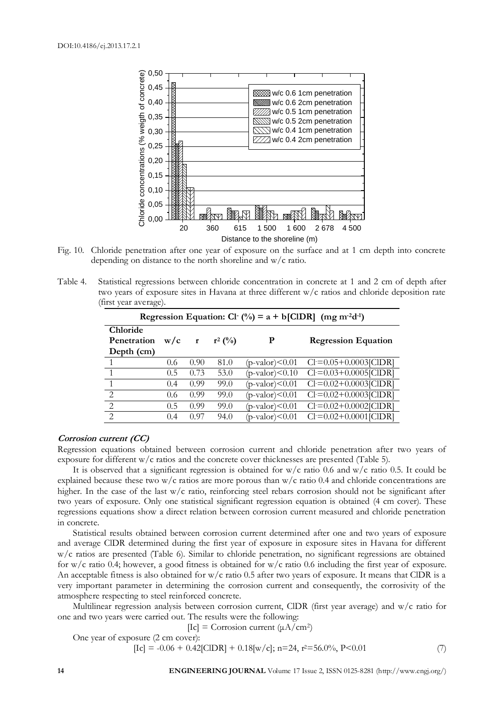

Fig. 10. Chloride penetration after one year of exposure on the surface and at 1 cm depth into concrete depending on distance to the north shoreline and w/c ratio.

Table 4. Statistical regressions between chloride concentration in concrete at 1 and 2 cm of depth after two years of exposure sites in Havana at three different w/c ratios and chloride deposition rate (first year average).

| Regression Equation: Cl $(\%)$ = a + b[ClDR] (mg m <sup>-2</sup> d <sup>-1</sup> ) |     |              |           |                          |                            |  |  |  |
|------------------------------------------------------------------------------------|-----|--------------|-----------|--------------------------|----------------------------|--|--|--|
| Chloride<br>Penetration                                                            | w/c | $\mathbf{r}$ | $r^2$ (%) | P                        | <b>Regression Equation</b> |  |  |  |
| Depth (cm)                                                                         |     |              |           |                          |                            |  |  |  |
|                                                                                    | 0.6 | 0.90         | 81.0      | $(p-value)<0.01$         | $Cl=0.05+0.0003$ [ClDR]    |  |  |  |
|                                                                                    | 0.5 | 0.73         | 53.0      | $(p\text{-valor})<0.10$  | $Cl=0.03+0.0005$ [ClDR]    |  |  |  |
|                                                                                    | 0.4 | 0.99         | 99.0      | $(p-value)<0.01$         | $Cl=0.02+0.0003$ [ClDR]    |  |  |  |
| $\mathcal{D}_{\mathcal{L}}$                                                        | 0.6 | 0.99         | 99.0      | $(p$ -valor $)\leq 0.01$ | $Cl=0.02+0.0003$ [ClDR]    |  |  |  |
| $\mathcal{D}_{\mathcal{L}}$                                                        | 0.5 | 0.99         | 99.0      | $(p-value)<0.01$         | $Cl=0.02+0.0002$ [ClDR]    |  |  |  |
| $\mathcal{D}$                                                                      | 0.4 | 0.97         | 94.0      | $(p-value)<0.01$         | $Cl=0.02+0.0001$ [ClDR]    |  |  |  |

#### **Corrosion current (CC)**

Regression equations obtained between corrosion current and chloride penetration after two years of exposure for different w/c ratios and the concrete cover thicknesses are presented (Table 5).

It is observed that a significant regression is obtained for  $w/c$  ratio 0.6 and  $w/c$  ratio 0.5. It could be explained because these two w/c ratios are more porous than  $w/c$  ratio 0.4 and chloride concentrations are higher. In the case of the last w/c ratio, reinforcing steel rebars corrosion should not be significant after two years of exposure. Only one statistical significant regression equation is obtained (4 cm cover). These regressions equations show a direct relation between corrosion current measured and chloride penetration in concrete.

Statistical results obtained between corrosion current determined after one and two years of exposure and average ClDR determined during the first year of exposure in exposure sites in Havana for different w/c ratios are presented (Table 6). Similar to chloride penetration, no significant regressions are obtained for w/c ratio 0.4; however, a good fitness is obtained for w/c ratio 0.6 including the first year of exposure. An acceptable fitness is also obtained for  $w/c$  ratio 0.5 after two years of exposure. It means that ClDR is a very important parameter in determining the corrosion current and consequently, the corrosivity of the atmosphere respecting to steel reinforced concrete.

Multilinear regression analysis between corrosion current, ClDR (first year average) and w/c ratio for one and two years were carried out. The results were the following:

[Ic] = Corrosion current  $(\mu A/cm^2)$ 

One year of exposure (2 cm cover):

$$
[Ic] = -0.06 + 0.42[CIDR] + 0.18[w/c]; n=24, r^2=56.0\%, P<0.01
$$
 (7)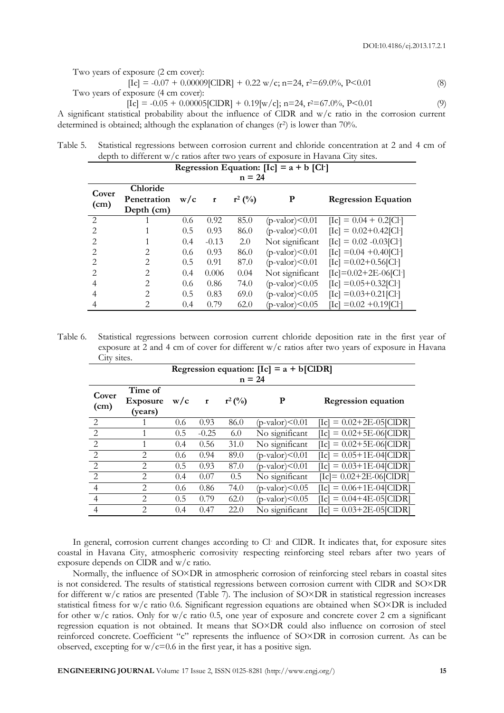Two years of exposure (2 cm cover):

 $\text{[Ic]} = -0.07 + 0.00009\text{[CIDR]} + 0.22 \text{ w/c}; \text{ n=24, r}^2 = 69.0\%, \text{ P} < 0.01$  (8) Two years of exposure (4 cm cover):

$$
[Ic] = -0.05 + 0.00005[CIDR] + 0.19[w/c]; n=24, r^2=67.0\%, P<0.01
$$
\n(9)

A significant statistical probability about the influence of ClDR and w/c ratio in the corrosion current determined is obtained; although the explanation of changes (r<sup>2</sup>) is lower than 70%.

| Table 5. Statistical regressions between corrosion current and chloride concentration at 2 and 4 cm of |
|--------------------------------------------------------------------------------------------------------|
| depth to different w/c ratios after two years of exposure in Havana City sites.                        |

| Regression Equation: $[Ic] = a + b [Cl]$ |                |               |              |           |                         |                                            |  |  |
|------------------------------------------|----------------|---------------|--------------|-----------|-------------------------|--------------------------------------------|--|--|
| $n = 24$                                 |                |               |              |           |                         |                                            |  |  |
| Cover                                    | Chloride       |               |              |           |                         |                                            |  |  |
| (cm)                                     | Penetration    | w/c           | $\mathbf{r}$ | $r^2$ (%) | P                       | <b>Regression Equation</b>                 |  |  |
|                                          | Depth (cm)     |               |              |           |                         |                                            |  |  |
| $\mathcal{L}$                            |                | 0.6           | 0.92         | 85.0      | $(p$ -valor $)< 0.01$   | $\text{[Ic]} = 0.04 + 0.2 \text{[Cl]}$     |  |  |
| $\mathcal{D}_{\mathcal{L}}$              |                | 0.5           | 0.93         | 86.0      | $(p\text{-valor})<0.01$ | $\text{[Ic]} = 0.02 + 0.42 \text{[Cl]}$    |  |  |
| $\mathcal{D}_{\mathcal{L}}$              |                | 0.4           | $-0.13$      | 2.0       | Not significant         | $\text{[Ic]} = 0.02 - 0.03 \text{[Cl]}$    |  |  |
| $\mathcal{D}_{\mathcal{L}}$              | 2              | $0.6^{\circ}$ | 0.93         | 86.0      | $(p-value)<0.01$        | $\text{[Ic]} = 0.04 + 0.40 \text{[Cl]}$    |  |  |
| $\mathcal{D}_{\mathcal{L}}$              | $\mathfrak{D}$ | 0.5           | 0.91         | 87.0      | $(p\text{-valor})<0.01$ | $\text{[Ic]} = 0.02 + 0.56 \text{[Cl]}$    |  |  |
| $\mathcal{D}_{\mathcal{L}}$              | $\mathfrak{D}$ | 0.4           | 0.006        | 0.04      | Not significant         | $\text{[Ic]} = 0.02 + 2E - 06 \text{[Cl]}$ |  |  |
| 4                                        | 2              | $0.6^{\circ}$ | 0.86         | 74.0      | $(p-value)<0.05$        | $\text{[Ic]} = 0.05 + 0.32 \text{[Cl]}$    |  |  |
| 4                                        | $\mathfrak{D}$ | 0.5           | 0.83         | 69.0      | $(p-value)<0.05$        | $\text{[Ic]} = 0.03 + 0.21 \text{[Cl]}$    |  |  |
| 4                                        | 2              | 0.4           | 0.79         | 62.0      | $(p\text{-valor})<0.05$ | $\text{[Ic]} = 0.02 + 0.19 \text{[Cl]}$    |  |  |

Table 6. Statistical regressions between corrosion current chloride deposition rate in the first year of exposure at 2 and 4 cm of cover for different w/c ratios after two years of exposure in Havana City sites.

|                | Regression equation: $[Ic] = a + b[CIDR]$ |     |              |           |                         |                                              |  |  |  |
|----------------|-------------------------------------------|-----|--------------|-----------|-------------------------|----------------------------------------------|--|--|--|
| $n = 24$       |                                           |     |              |           |                         |                                              |  |  |  |
| Cover          | Time of                                   |     |              |           |                         |                                              |  |  |  |
| (cm)           | <b>Exposure</b>                           | w/c | $\mathbf{r}$ | $r^2$ (%) | P                       | <b>Regression equation</b>                   |  |  |  |
|                | (years)                                   |     |              |           |                         |                                              |  |  |  |
| 2              |                                           | 0.6 | 0.93         | 86.0      | $(p\text{-valor})<0.01$ | $\text{[Ic]} = 0.02 + 2E - 05 \text{[CIDR]}$ |  |  |  |
| 2              |                                           | 0.5 | $-0.25$      | 6.0       | No significant          | $\text{[Ic]} = 0.02 + 5E - 06 \text{[CIDR]}$ |  |  |  |
| 2              | 1                                         | 0.4 | 0.56         | 31.0      | No significant          | $\text{[Ic]} = 0.02 + 5E - 06 \text{[CIDR]}$ |  |  |  |
| $\overline{2}$ | 2                                         | 0.6 | 0.94         | 89.0      | $(p\text{-valor})<0.01$ | $\text{[Ic]} = 0.05 + 1E - 04 \text{[CIDR]}$ |  |  |  |
| $\mathfrak{D}$ | $\mathfrak{D}_{\mathfrak{p}}$             | 0.5 | 0.93         | 87.0      | $(p-value)<0.01$        | $[Ic] = 0.03 + 1E-04[CIDR]$                  |  |  |  |
| $\mathfrak{D}$ | $\mathfrak{D}$                            | 0.4 | 0.07         | 0.5       | No significant          | $ Ic  = 0.02 + 2E - 06 C DR $                |  |  |  |
| 4              | 2                                         | 0.6 | 0.86         | 74.0      | $(p-value)<0.05$        | $\text{[Ic]} = 0.06 + 1E - 04 \text{[CIDR]}$ |  |  |  |
| $\overline{4}$ | $\overline{2}$                            | 0.5 | 0.79         | 62.0      | $(p-value)<0.05$        | $\text{[Ic]} = 0.04 + 4E - 05 \text{[CIDR]}$ |  |  |  |
| 4              | $\mathfrak{D}$                            | 0.4 | 0.47         | 22.0      | No significant          | $\text{[Ic]} = 0.03 + 2E - 05 \text{[CIDR]}$ |  |  |  |

In general, corrosion current changes according to Cl- and CIDR. It indicates that, for exposure sites coastal in Havana City, atmospheric corrosivity respecting reinforcing steel rebars after two years of exposure depends on ClDR and w/c ratio.

Normally, the influence of SO×DR in atmospheric corrosion of reinforcing steel rebars in coastal sites is not considered. The results of statistical regressions between corrosion current with ClDR and SO×DR for different w/c ratios are presented (Table 7). The inclusion of SO×DR in statistical regression increases statistical fitness for w/c ratio 0.6. Significant regression equations are obtained when SO×DR is included for other w/c ratios. Only for w/c ratio 0.5, one year of exposure and concrete cover 2 cm a significant regression equation is not obtained. It means that SO×DR could also influence on corrosion of steel reinforced concrete. Coefficient "c" represents the influence of SO×DR in corrosion current. As can be observed, excepting for  $w/c=0.6$  in the first year, it has a positive sign.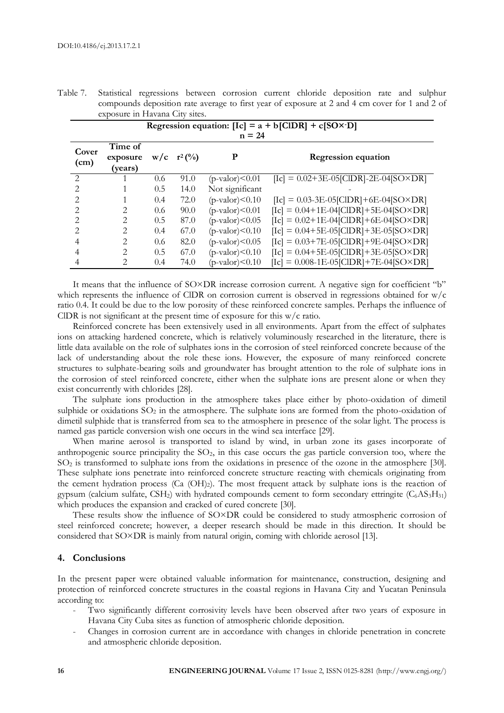Table 7. Statistical regressions between corrosion current chloride deposition rate and sulphur compounds deposition rate average to first year of exposure at 2 and 4 cm cover for 1 and 2 of exposure in Havana City sites.

| Regression equation: $[Ic] = a + b[CIDR] + c[SO \times D]$<br>$n = 24$ |                                |               |                  |                         |                                                                                     |  |  |  |
|------------------------------------------------------------------------|--------------------------------|---------------|------------------|-------------------------|-------------------------------------------------------------------------------------|--|--|--|
| Cover<br>(cm)                                                          | Time of<br>exposure<br>(years) |               | $W/c \t r^2$ (%) | P                       | <b>Regression equation</b>                                                          |  |  |  |
| $\mathcal{D}_{\mathcal{L}}$                                            |                                | 0.6           | 91.0             | $(p$ -valor $)$ <0.01   | $[Ic] = 0.02 + 3E - 05[CIDR] - 2E - 04[SO \times DR]$                               |  |  |  |
|                                                                        |                                | 0.5           | 14.0             | Not significant         |                                                                                     |  |  |  |
|                                                                        |                                | 0.4           | 72.0             | $(p\text{-valor})<0.10$ | $\text{[Ic]} = 0.03 - 3E - 05 \text{[CIDR]} + 6E - 04 \text{[SO} \times \text{DR]}$ |  |  |  |
|                                                                        | 2                              | $0.6^{\circ}$ | 90.0             | $(p\text{-valor})<0.01$ | $[Ic] = 0.04 + 1E - 04[CIDR] + 5E - 04[SO \times DR]$                               |  |  |  |
|                                                                        | 2                              | 0.5           | 87.0             | $(p\text{-valor})<0.05$ | $[Ic] = 0.02 + 1E-04[CDR] + 6E-04[SO \times DR]$                                    |  |  |  |
|                                                                        | 2                              | 0.4           | 67.0             | $(p\text{-valor})<0.10$ | $[Ic] = 0.04 + 5E - 05[CDR] + 3E - 05[SO \times DR]$                                |  |  |  |
| 4                                                                      | 2                              | 0.6           | 82.0             | $(p\text{-valor})<0.05$ | $[Ic] = 0.03+7E-05[CIDR]+9E-04[SO\times DR]$                                        |  |  |  |
|                                                                        | 2                              | 0.5           | 67.0             | $(p\text{-valor})<0.10$ | $[Ic] = 0.04 + 5E - 05[CDR] + 3E - 05[SO \times DR]$                                |  |  |  |
|                                                                        |                                | 0.4           | 74.0             | $(p\text{-valor})<0.10$ | $[Ic] = 0.008 - 1E - 05[CIDR] + 7E - 04[SO \times DR]$                              |  |  |  |

It means that the influence of SO×DR increase corrosion current. A negative sign for coefficient "b" which represents the influence of CIDR on corrosion current is observed in regressions obtained for w/c ratio 0.4. It could be due to the low porosity of these reinforced concrete samples. Perhaps the influence of CIDR is not significant at the present time of exposure for this  $w/c$  ratio.

Reinforced concrete has been extensively used in all environments. Apart from the effect of sulphates ions on attacking hardened concrete, which is relatively voluminously researched in the literature, there is little data available on the role of sulphates ions in the corrosion of steel reinforced concrete because of the lack of understanding about the role these ions. However, the exposure of many reinforced concrete structures to sulphate-bearing soils and groundwater has brought attention to the role of sulphate ions in the corrosion of steel reinforced concrete, either when the sulphate ions are present alone or when they exist concurrently with chlorides [28].

The sulphate ions production in the atmosphere takes place either by photo-oxidation of dimetil sulphide or oxidations SO<sub>2</sub> in the atmosphere. The sulphate ions are formed from the photo-oxidation of dimetil sulphide that is transferred from sea to the atmosphere in presence of the solar light. The process is named gas particle conversion wish one occurs in the wind sea interface [29].

When marine aerosol is transported to island by wind, in urban zone its gases incorporate of anthropogenic source principality the  $SO<sub>2</sub>$ , in this case occurs the gas particle conversion too, where the SO<sup>2</sup> is transformed to sulphate ions from the oxidations in presence of the ozone in the atmosphere [30]. These sulphate ions penetrate into reinforced concrete structure reacting with chemicals originating from the cement hydration process (Ca (OH)2). The most frequent attack by sulphate ions is the reaction of gypsum (calcium sulfate, CSH<sub>2</sub>) with hydrated compounds cement to form secondary ettringite ( $C_6AS_3H_{31}$ ) which produces the expansion and cracked of cured concrete [30].

These results show the influence of SO×DR could be considered to study atmospheric corrosion of steel reinforced concrete; however, a deeper research should be made in this direction. It should be considered that SO×DR is mainly from natural origin, coming with chloride aerosol [13].

#### **4. Conclusions**

In the present paper were obtained valuable information for maintenance, construction, designing and protection of reinforced concrete structures in the coastal regions in Havana City and Yucatan Peninsula according to:

- Two significantly different corrosivity levels have been observed after two years of exposure in Havana City Cuba sites as function of atmospheric chloride deposition.
- Changes in corrosion current are in accordance with changes in chloride penetration in concrete and atmospheric chloride deposition.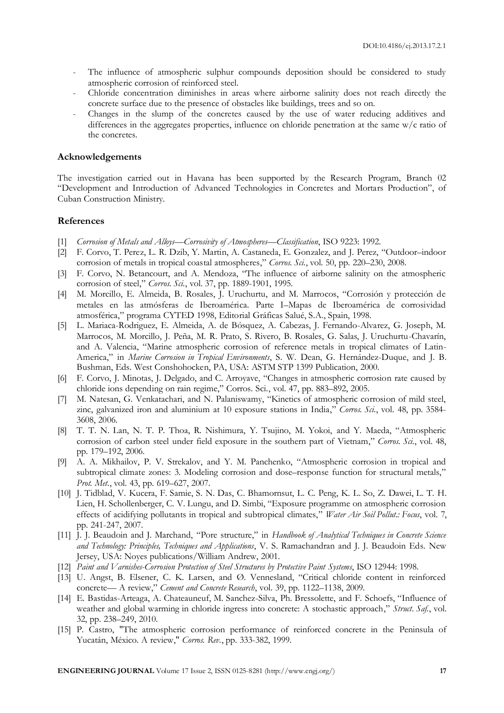- The influence of atmospheric sulphur compounds deposition should be considered to study atmospheric corrosion of reinforced steel.
- Chloride concentration diminishes in areas where airborne salinity does not reach directly the concrete surface due to the presence of obstacles like buildings, trees and so on.
- Changes in the slump of the concretes caused by the use of water reducing additives and differences in the aggregates properties, influence on chloride penetration at the same w/c ratio of the concretes.

#### **Acknowledgements**

The investigation carried out in Havana has been supported by the Research Program, Branch 02 "Development and Introduction of Advanced Technologies in Concretes and Mortars Production", of Cuban Construction Ministry.

#### **References**

- [1] *Corrosion of Metals and Alloys—Corrosivity of Atmospheres—Classification*, ISO 9223: 1992.
- [2] F. Corvo, T. Perez, L. R. Dzib, Y. Martin, A. Castaneda, E. Gonzalez, and J. Perez, "Outdoor–indoor corrosion of metals in tropical coastal atmospheres," *Corros. Sci.*, vol. 50, pp. 220–230, 2008.
- [3] F. Corvo, N. Betancourt, and A. Mendoza, "The influence of airborne salinity on the atmospheric corrosion of steel," *Corros. Sci.*, vol. 37, pp. 1889-1901, 1995.
- [4] M. Morcillo, E. Almeida, B. Rosales, J. Uruchurtu, and M. Marrocos, "Corrosión y protección de metales en las atmósferas de Iberoamérica. Parte I–Mapas de Iberoamérica de corrosividad atmosférica," programa CYTED 1998, Editorial Gráficas Salué, S.A., Spain, 1998.
- [5] L. Mariaca-Rodriguez, E. Almeida, A. de Bósquez, A. Cabezas, J. Fernando-Alvarez, G. Joseph, M. Marrocos, M. Morcillo, J. Peña, M. R. Prato, S. Rivero, B. Rosales, G. Salas, J. Uruchurtu-Chavarín, and A. Valencia, "Marine atmospheric corrosion of reference metals in tropical climates of Latin-America," in *Marine Corrosion in Tropical Environments*, S. W. Dean, G. Hernández-Duque, and J. B. Bushman, Eds. West Conshohocken, PA, USA: ASTM STP 1399 Publication, 2000.
- [6] F. Corvo, J. Minotas, J. Delgado, and C. Arroyave, "Changes in atmospheric corrosion rate caused by chloride ions depending on rain regime," Corros. Sci., vol. 47, pp. 883–892, 2005.
- [7] M. Natesan, G. Venkatachari, and N. Palaniswamy, "Kinetics of atmospheric corrosion of mild steel, zinc, galvanized iron and aluminium at 10 exposure stations in India," *Corros. Sci.*, vol. 48, pp. 3584- 3608, 2006.
- [8] T. T. N. Lan, N. T. P. Thoa, R. Nishimura, Y. Tsujino, M. Yokoi, and Y. Maeda, "Atmospheric corrosion of carbon steel under field exposure in the southern part of Vietnam," *Corros. Sci.*, vol. 48, pp. 179–192, 2006.
- [9] A. A. Mikhailov, P. V. Strekalov, and Y. M. Panchenko, "Atmospheric corrosion in tropical and subtropical climate zones: 3. Modeling corrosion and dose–response function for structural metals," *Prot. Met.*, vol. 43, pp. 619–627, 2007.
- [10] J. Tidblad, V. Kucera, F. Samie, S. N. Das, C. Bhamornsut, L. C. Peng, K. L. So, Z. Dawei, L. T. H. Lien, H. Schollenberger, C. V. Lungu, and D. Simbi, "Exposure programme on atmospheric corrosion effects of acidifying pollutants in tropical and subtropical climates," *Water Air Soil Pollut.: Focus*, vol. 7, pp. 241-247, 2007.
- [11] J. J. Beaudoin and J. Marchand, "Pore structure," in *Handbook of Analytical Techniques in Concrete Science and Technology: Principles, Techniques and Applications*, V. S. Ramachandran and J. J. Beaudoin Eds. New Jersey, USA: Noyes publications/William Andrew, 2001.
- [12] *Paint and Varnishes-Corrosion Protection of Steel Structures by Protective Paint Systems*, ISO 12944: 1998.
- [13] U. Angst, B. Elsener, C. K. Larsen, and Ø. Vennesland, "Critical chloride content in reinforced concrete— A review," *Cement and Concrete Research*, vol. 39, pp. 1122–1138, 2009.
- [14] E. Bastidas-Arteaga, A. Chateauneuf, M. Sanchez-Silva, Ph. Bressolette, and F. Schoefs, "Influence of weather and global warming in chloride ingress into concrete: A stochastic approach," *Struct. Saf.*, vol. 32, pp. 238–249, 2010.
- [15] P. Castro, "The atmospheric corrosion performance of reinforced concrete in the Peninsula of Yucatán, México. A review," *Corros. Rev.*, pp. 333-382, 1999.